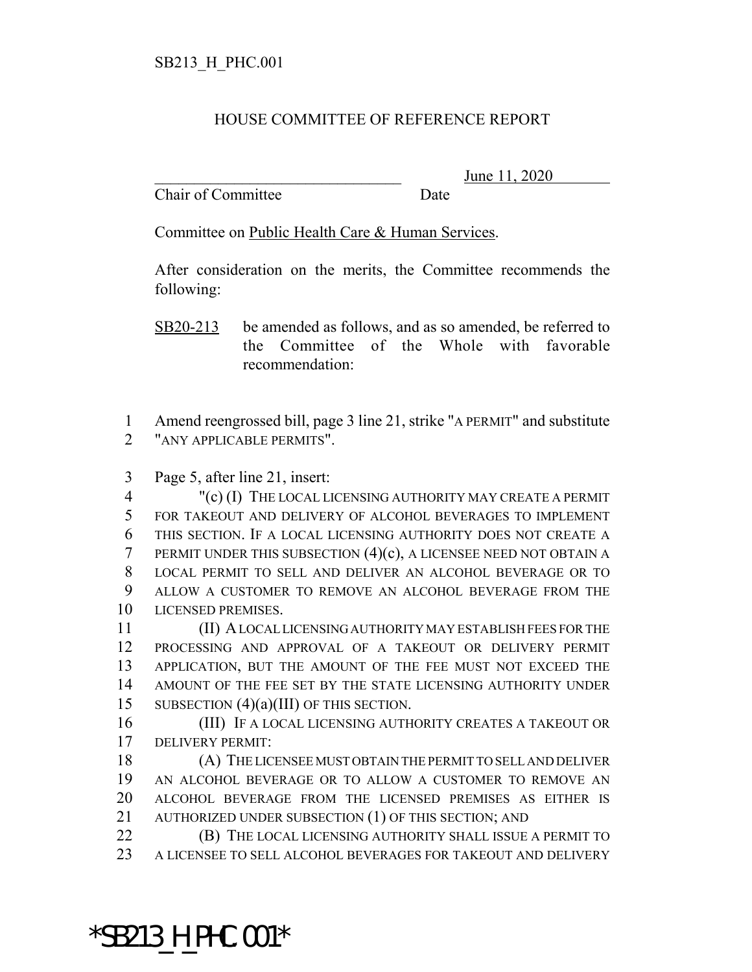## HOUSE COMMITTEE OF REFERENCE REPORT

Chair of Committee Date

\_\_\_\_\_\_\_\_\_\_\_\_\_\_\_\_\_\_\_\_\_\_\_\_\_\_\_\_\_\_\_ June 11, 2020

Committee on Public Health Care & Human Services.

After consideration on the merits, the Committee recommends the following:

SB20-213 be amended as follows, and as so amended, be referred to the Committee of the Whole with favorable recommendation:

 Amend reengrossed bill, page 3 line 21, strike "A PERMIT" and substitute "ANY APPLICABLE PERMITS".

Page 5, after line 21, insert:

 "(c) (I) THE LOCAL LICENSING AUTHORITY MAY CREATE A PERMIT FOR TAKEOUT AND DELIVERY OF ALCOHOL BEVERAGES TO IMPLEMENT THIS SECTION. IF A LOCAL LICENSING AUTHORITY DOES NOT CREATE A PERMIT UNDER THIS SUBSECTION (4)(c), A LICENSEE NEED NOT OBTAIN A LOCAL PERMIT TO SELL AND DELIVER AN ALCOHOL BEVERAGE OR TO ALLOW A CUSTOMER TO REMOVE AN ALCOHOL BEVERAGE FROM THE LICENSED PREMISES.

 (II) A LOCAL LICENSING AUTHORITY MAY ESTABLISH FEES FOR THE PROCESSING AND APPROVAL OF A TAKEOUT OR DELIVERY PERMIT APPLICATION, BUT THE AMOUNT OF THE FEE MUST NOT EXCEED THE AMOUNT OF THE FEE SET BY THE STATE LICENSING AUTHORITY UNDER SUBSECTION (4)(a)(III) OF THIS SECTION.

 (III) IF A LOCAL LICENSING AUTHORITY CREATES A TAKEOUT OR DELIVERY PERMIT:

 (A) THE LICENSEE MUST OBTAIN THE PERMIT TO SELL AND DELIVER AN ALCOHOL BEVERAGE OR TO ALLOW A CUSTOMER TO REMOVE AN ALCOHOL BEVERAGE FROM THE LICENSED PREMISES AS EITHER IS 21 AUTHORIZED UNDER SUBSECTION (1) OF THIS SECTION; AND

**(B)** THE LOCAL LICENSING AUTHORITY SHALL ISSUE A PERMIT TO A LICENSEE TO SELL ALCOHOL BEVERAGES FOR TAKEOUT AND DELIVERY

\*SB213\_H\_PHC.001\*